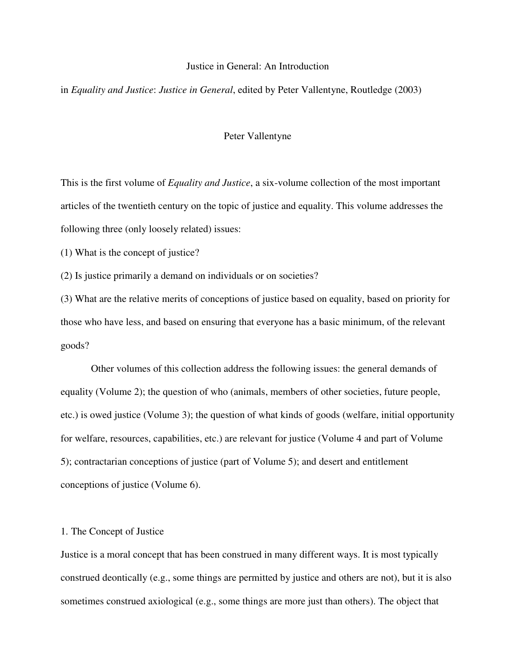# Justice in General: An Introduction

in *Equality and Justice*: *Justice in General*, edited by Peter Vallentyne, Routledge (2003)

# Peter Vallentyne

This is the first volume of *Equality and Justice*, a six-volume collection of the most important articles of the twentieth century on the topic of justice and equality. This volume addresses the following three (only loosely related) issues:

(1) What is the concept of justice?

(2) Is justice primarily a demand on individuals or on societies?

(3) What are the relative merits of conceptions of justice based on equality, based on priority for those who have less, and based on ensuring that everyone has a basic minimum, of the relevant goods?

Other volumes of this collection address the following issues: the general demands of equality (Volume 2); the question of who (animals, members of other societies, future people, etc.) is owed justice (Volume 3); the question of what kinds of goods (welfare, initial opportunity for welfare, resources, capabilities, etc.) are relevant for justice (Volume 4 and part of Volume 5); contractarian conceptions of justice (part of Volume 5); and desert and entitlement conceptions of justice (Volume 6).

### 1. The Concept of Justice

Justice is a moral concept that has been construed in many different ways. It is most typically construed deontically (e.g., some things are permitted by justice and others are not), but it is also sometimes construed axiological (e.g., some things are more just than others). The object that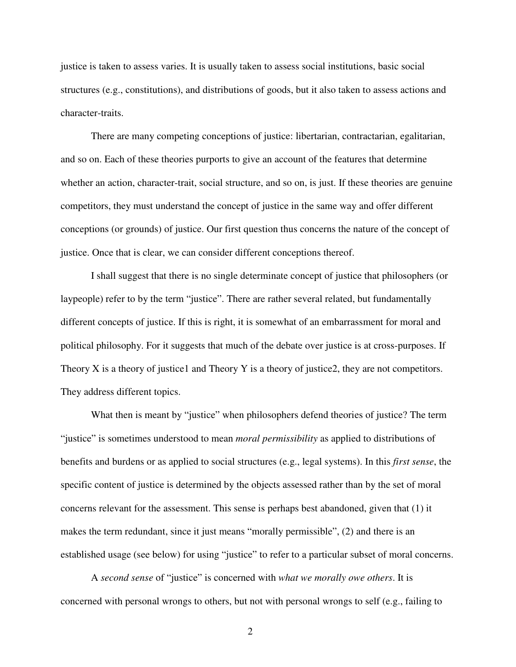justice is taken to assess varies. It is usually taken to assess social institutions, basic social structures (e.g., constitutions), and distributions of goods, but it also taken to assess actions and character-traits.

There are many competing conceptions of justice: libertarian, contractarian, egalitarian, and so on. Each of these theories purports to give an account of the features that determine whether an action, character-trait, social structure, and so on, is just. If these theories are genuine competitors, they must understand the concept of justice in the same way and offer different conceptions (or grounds) of justice. Our first question thus concerns the nature of the concept of justice. Once that is clear, we can consider different conceptions thereof.

 I shall suggest that there is no single determinate concept of justice that philosophers (or laypeople) refer to by the term "justice". There are rather several related, but fundamentally different concepts of justice. If this is right, it is somewhat of an embarrassment for moral and political philosophy. For it suggests that much of the debate over justice is at cross-purposes. If Theory X is a theory of justice1 and Theory Y is a theory of justice2, they are not competitors. They address different topics.

What then is meant by "justice" when philosophers defend theories of justice? The term "justice" is sometimes understood to mean *moral permissibility* as applied to distributions of benefits and burdens or as applied to social structures (e.g., legal systems). In this *first sense*, the specific content of justice is determined by the objects assessed rather than by the set of moral concerns relevant for the assessment. This sense is perhaps best abandoned, given that (1) it makes the term redundant, since it just means "morally permissible", (2) and there is an established usage (see below) for using "justice" to refer to a particular subset of moral concerns.

 A *second sense* of "justice" is concerned with *what we morally owe others*. It is concerned with personal wrongs to others, but not with personal wrongs to self (e.g., failing to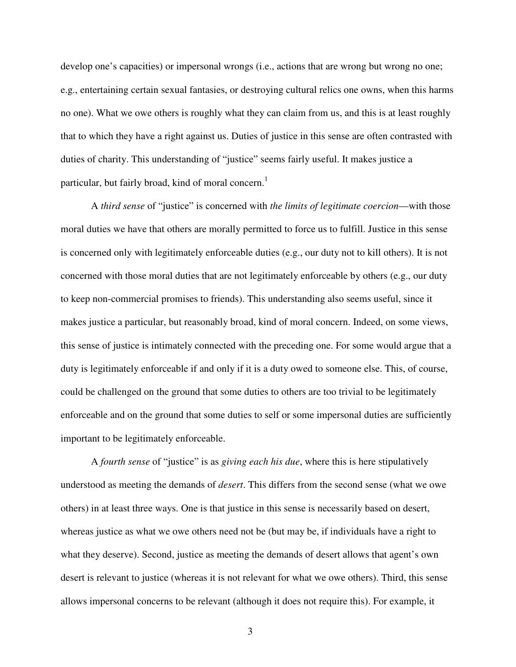develop one's capacities) or impersonal wrongs (i.e., actions that are wrong but wrong no one; e.g., entertaining certain sexual fantasies, or destroying cultural relics one owns, when this harms no one). What we owe others is roughly what they can claim from us, and this is at least roughly that to which they have a right against us. Duties of justice in this sense are often contrasted with duties of charity. This understanding of "justice" seems fairly useful. It makes justice a particular, but fairly broad, kind of moral concern.<sup>1</sup>

 A *third sense* of "justice" is concerned with *the limits of legitimate coercion*—with those moral duties we have that others are morally permitted to force us to fulfill. Justice in this sense is concerned only with legitimately enforceable duties (e.g., our duty not to kill others). It is not concerned with those moral duties that are not legitimately enforceable by others (e.g., our duty to keep non-commercial promises to friends). This understanding also seems useful, since it makes justice a particular, but reasonably broad, kind of moral concern. Indeed, on some views, this sense of justice is intimately connected with the preceding one. For some would argue that a duty is legitimately enforceable if and only if it is a duty owed to someone else. This, of course, could be challenged on the ground that some duties to others are too trivial to be legitimately enforceable and on the ground that some duties to self or some impersonal duties are sufficiently important to be legitimately enforceable.

A *fourth sense* of "justice" is as *giving each his due*, where this is here stipulatively understood as meeting the demands of *desert*. This differs from the second sense (what we owe others) in at least three ways. One is that justice in this sense is necessarily based on desert, whereas justice as what we owe others need not be (but may be, if individuals have a right to what they deserve). Second, justice as meeting the demands of desert allows that agent's own desert is relevant to justice (whereas it is not relevant for what we owe others). Third, this sense allows impersonal concerns to be relevant (although it does not require this). For example, it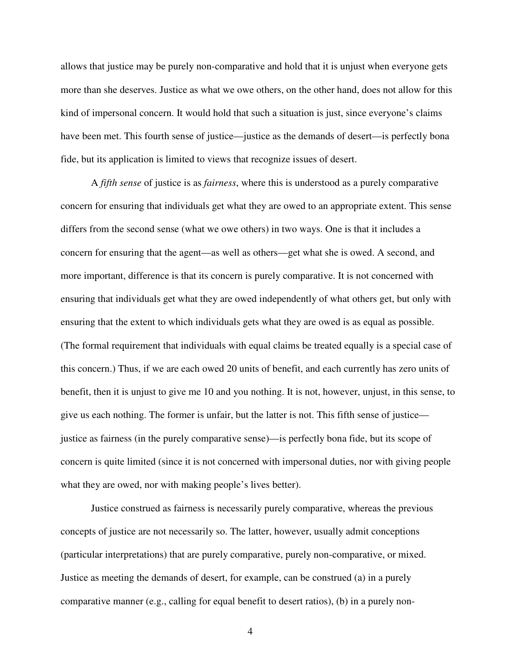allows that justice may be purely non-comparative and hold that it is unjust when everyone gets more than she deserves. Justice as what we owe others, on the other hand, does not allow for this kind of impersonal concern. It would hold that such a situation is just, since everyone's claims have been met. This fourth sense of justice—justice as the demands of desert—is perfectly bona fide, but its application is limited to views that recognize issues of desert.

A *fifth sense* of justice is as *fairness*, where this is understood as a purely comparative concern for ensuring that individuals get what they are owed to an appropriate extent. This sense differs from the second sense (what we owe others) in two ways. One is that it includes a concern for ensuring that the agent—as well as others—get what she is owed. A second, and more important, difference is that its concern is purely comparative. It is not concerned with ensuring that individuals get what they are owed independently of what others get, but only with ensuring that the extent to which individuals gets what they are owed is as equal as possible. (The formal requirement that individuals with equal claims be treated equally is a special case of this concern.) Thus, if we are each owed 20 units of benefit, and each currently has zero units of benefit, then it is unjust to give me 10 and you nothing. It is not, however, unjust, in this sense, to give us each nothing. The former is unfair, but the latter is not. This fifth sense of justice justice as fairness (in the purely comparative sense)—is perfectly bona fide, but its scope of concern is quite limited (since it is not concerned with impersonal duties, nor with giving people what they are owed, nor with making people's lives better).

 Justice construed as fairness is necessarily purely comparative, whereas the previous concepts of justice are not necessarily so. The latter, however, usually admit conceptions (particular interpretations) that are purely comparative, purely non-comparative, or mixed. Justice as meeting the demands of desert, for example, can be construed (a) in a purely comparative manner (e.g., calling for equal benefit to desert ratios), (b) in a purely non-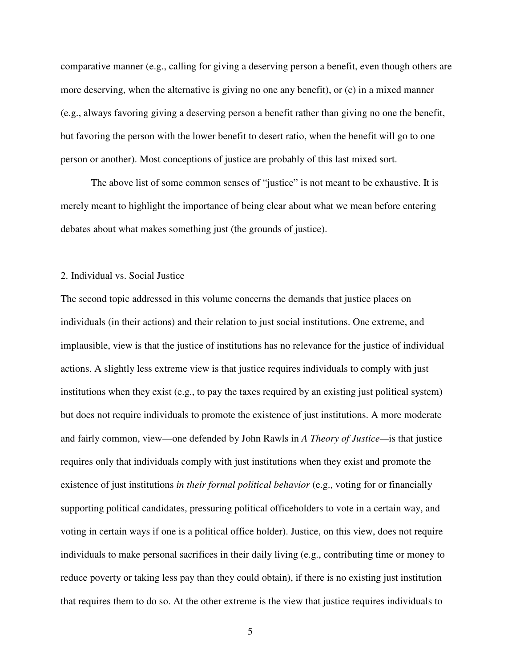comparative manner (e.g., calling for giving a deserving person a benefit, even though others are more deserving, when the alternative is giving no one any benefit), or (c) in a mixed manner (e.g., always favoring giving a deserving person a benefit rather than giving no one the benefit, but favoring the person with the lower benefit to desert ratio, when the benefit will go to one person or another). Most conceptions of justice are probably of this last mixed sort.

 The above list of some common senses of "justice" is not meant to be exhaustive. It is merely meant to highlight the importance of being clear about what we mean before entering debates about what makes something just (the grounds of justice).

# 2. Individual vs. Social Justice

The second topic addressed in this volume concerns the demands that justice places on individuals (in their actions) and their relation to just social institutions. One extreme, and implausible, view is that the justice of institutions has no relevance for the justice of individual actions. A slightly less extreme view is that justice requires individuals to comply with just institutions when they exist (e.g., to pay the taxes required by an existing just political system) but does not require individuals to promote the existence of just institutions. A more moderate and fairly common, view—one defended by John Rawls in *A Theory of Justice—*is that justice requires only that individuals comply with just institutions when they exist and promote the existence of just institutions *in their formal political behavior* (e.g., voting for or financially supporting political candidates, pressuring political officeholders to vote in a certain way, and voting in certain ways if one is a political office holder). Justice, on this view, does not require individuals to make personal sacrifices in their daily living (e.g., contributing time or money to reduce poverty or taking less pay than they could obtain), if there is no existing just institution that requires them to do so. At the other extreme is the view that justice requires individuals to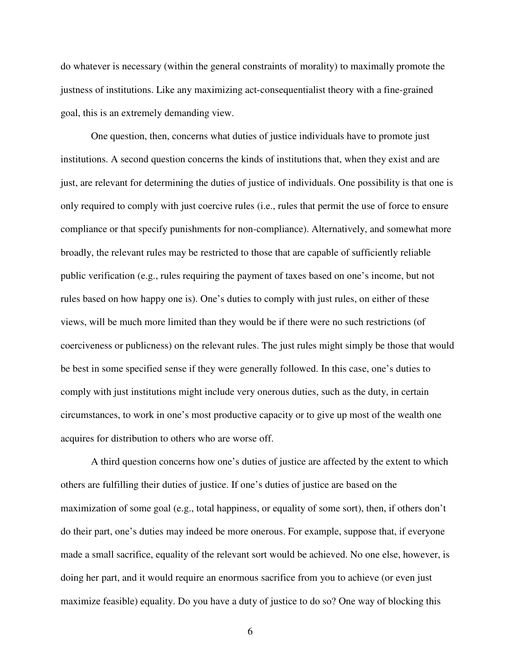do whatever is necessary (within the general constraints of morality) to maximally promote the justness of institutions. Like any maximizing act-consequentialist theory with a fine-grained goal, this is an extremely demanding view.

One question, then, concerns what duties of justice individuals have to promote just institutions. A second question concerns the kinds of institutions that, when they exist and are just, are relevant for determining the duties of justice of individuals. One possibility is that one is only required to comply with just coercive rules (i.e., rules that permit the use of force to ensure compliance or that specify punishments for non-compliance). Alternatively, and somewhat more broadly, the relevant rules may be restricted to those that are capable of sufficiently reliable public verification (e.g., rules requiring the payment of taxes based on one's income, but not rules based on how happy one is). One's duties to comply with just rules, on either of these views, will be much more limited than they would be if there were no such restrictions (of coerciveness or publicness) on the relevant rules. The just rules might simply be those that would be best in some specified sense if they were generally followed. In this case, one's duties to comply with just institutions might include very onerous duties, such as the duty, in certain circumstances, to work in one's most productive capacity or to give up most of the wealth one acquires for distribution to others who are worse off.

A third question concerns how one's duties of justice are affected by the extent to which others are fulfilling their duties of justice. If one's duties of justice are based on the maximization of some goal (e.g., total happiness, or equality of some sort), then, if others don't do their part, one's duties may indeed be more onerous. For example, suppose that, if everyone made a small sacrifice, equality of the relevant sort would be achieved. No one else, however, is doing her part, and it would require an enormous sacrifice from you to achieve (or even just maximize feasible) equality. Do you have a duty of justice to do so? One way of blocking this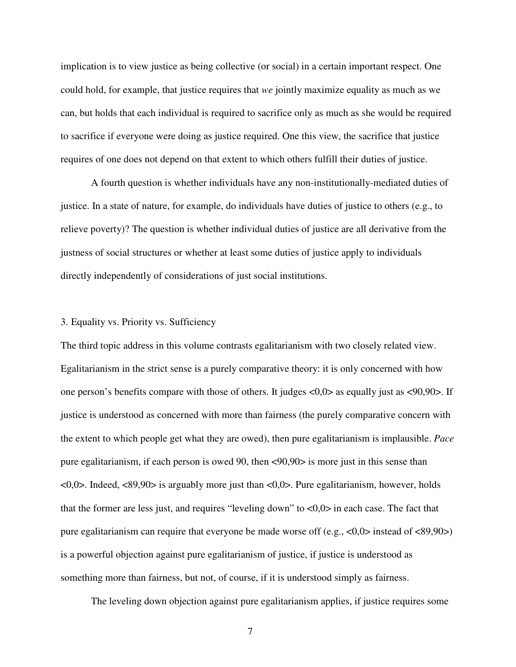implication is to view justice as being collective (or social) in a certain important respect. One could hold, for example, that justice requires that *we* jointly maximize equality as much as we can, but holds that each individual is required to sacrifice only as much as she would be required to sacrifice if everyone were doing as justice required. One this view, the sacrifice that justice requires of one does not depend on that extent to which others fulfill their duties of justice.

 A fourth question is whether individuals have any non-institutionally-mediated duties of justice. In a state of nature, for example, do individuals have duties of justice to others (e.g., to relieve poverty)? The question is whether individual duties of justice are all derivative from the justness of social structures or whether at least some duties of justice apply to individuals directly independently of considerations of just social institutions.

### 3. Equality vs. Priority vs. Sufficiency

The third topic address in this volume contrasts egalitarianism with two closely related view. Egalitarianism in the strict sense is a purely comparative theory: it is only concerned with how one person's benefits compare with those of others. It judges <0,0> as equally just as <90,90>. If justice is understood as concerned with more than fairness (the purely comparative concern with the extent to which people get what they are owed), then pure egalitarianism is implausible. *Pace*  pure egalitarianism, if each person is owed 90, then <90,90> is more just in this sense than <0,0>. Indeed, <89,90> is arguably more just than <0,0>. Pure egalitarianism, however, holds that the former are less just, and requires "leveling down" to  $\langle 0,0 \rangle$  in each case. The fact that pure egalitarianism can require that everyone be made worse off (e.g.,  $\langle 0,0 \rangle$  instead of  $\langle 89,90 \rangle$ ) is a powerful objection against pure egalitarianism of justice, if justice is understood as something more than fairness, but not, of course, if it is understood simply as fairness.

The leveling down objection against pure egalitarianism applies, if justice requires some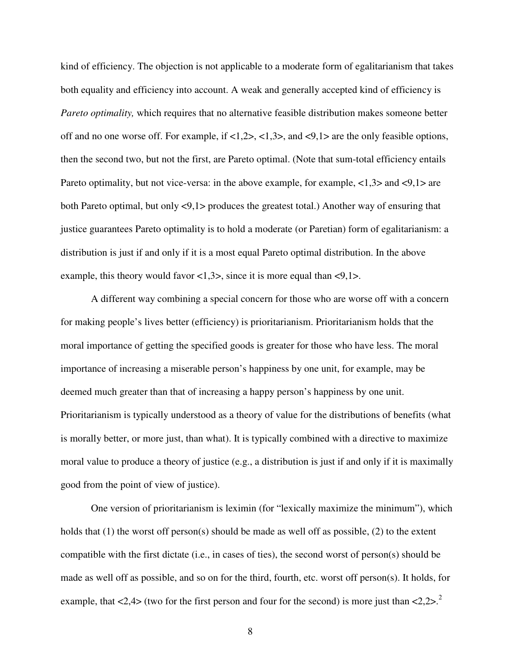kind of efficiency. The objection is not applicable to a moderate form of egalitarianism that takes both equality and efficiency into account. A weak and generally accepted kind of efficiency is *Pareto optimality,* which requires that no alternative feasible distribution makes someone better off and no one worse off. For example, if  $\langle 1,2 \rangle, \langle 1,3 \rangle$ , and  $\langle 9,1 \rangle$  are the only feasible options, then the second two, but not the first, are Pareto optimal. (Note that sum-total efficiency entails Pareto optimality, but not vice-versa: in the above example, for example,  $\langle 1,3 \rangle$  and  $\langle 9,1 \rangle$  are both Pareto optimal, but only <9,1> produces the greatest total.) Another way of ensuring that justice guarantees Pareto optimality is to hold a moderate (or Paretian) form of egalitarianism: a distribution is just if and only if it is a most equal Pareto optimal distribution. In the above example, this theory would favor  $\langle 1,3 \rangle$ , since it is more equal than  $\langle 9,1 \rangle$ .

 A different way combining a special concern for those who are worse off with a concern for making people's lives better (efficiency) is prioritarianism. Prioritarianism holds that the moral importance of getting the specified goods is greater for those who have less. The moral importance of increasing a miserable person's happiness by one unit, for example, may be deemed much greater than that of increasing a happy person's happiness by one unit. Prioritarianism is typically understood as a theory of value for the distributions of benefits (what is morally better, or more just, than what). It is typically combined with a directive to maximize moral value to produce a theory of justice (e.g., a distribution is just if and only if it is maximally good from the point of view of justice).

One version of prioritarianism is leximin (for "lexically maximize the minimum"), which holds that (1) the worst off person(s) should be made as well off as possible, (2) to the extent compatible with the first dictate (i.e., in cases of ties), the second worst of person(s) should be made as well off as possible, and so on for the third, fourth, etc. worst off person(s). It holds, for example, that  $\langle 2,4 \rangle$  (two for the first person and four for the second) is more just than  $\langle 2,2 \rangle$ .<sup>2</sup>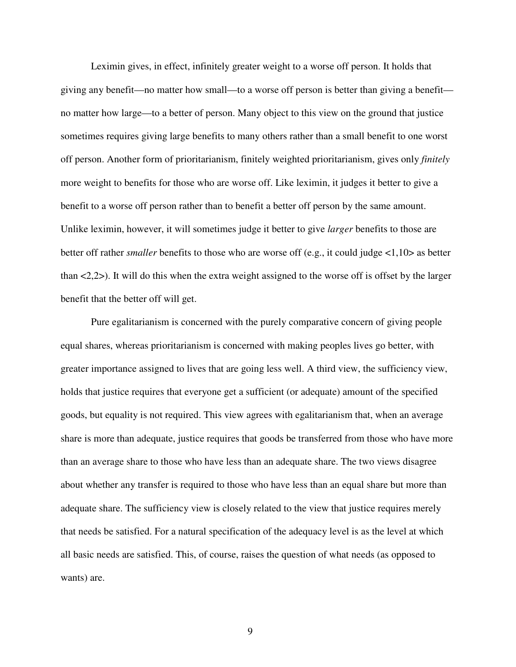Leximin gives, in effect, infinitely greater weight to a worse off person. It holds that giving any benefit—no matter how small—to a worse off person is better than giving a benefit no matter how large—to a better of person. Many object to this view on the ground that justice sometimes requires giving large benefits to many others rather than a small benefit to one worst off person. Another form of prioritarianism, finitely weighted prioritarianism, gives only *finitely*  more weight to benefits for those who are worse off. Like leximin, it judges it better to give a benefit to a worse off person rather than to benefit a better off person by the same amount. Unlike leximin, however, it will sometimes judge it better to give *larger* benefits to those are better off rather *smaller* benefits to those who are worse off (e.g., it could judge <1,10> as better than <2,2>). It will do this when the extra weight assigned to the worse off is offset by the larger benefit that the better off will get.

 Pure egalitarianism is concerned with the purely comparative concern of giving people equal shares, whereas prioritarianism is concerned with making peoples lives go better, with greater importance assigned to lives that are going less well. A third view, the sufficiency view, holds that justice requires that everyone get a sufficient (or adequate) amount of the specified goods, but equality is not required. This view agrees with egalitarianism that, when an average share is more than adequate, justice requires that goods be transferred from those who have more than an average share to those who have less than an adequate share. The two views disagree about whether any transfer is required to those who have less than an equal share but more than adequate share. The sufficiency view is closely related to the view that justice requires merely that needs be satisfied. For a natural specification of the adequacy level is as the level at which all basic needs are satisfied. This, of course, raises the question of what needs (as opposed to wants) are.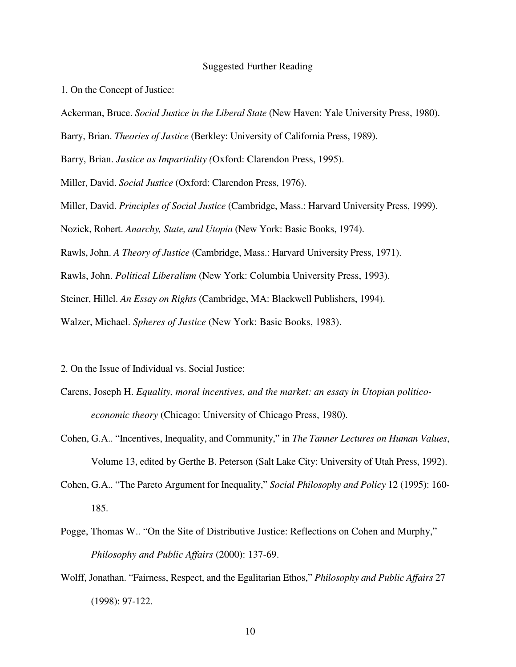# Suggested Further Reading

1. On the Concept of Justice:

Ackerman, Bruce. *Social Justice in the Liberal State* (New Haven: Yale University Press, 1980).

Barry, Brian. *Theories of Justice* (Berkley: University of California Press, 1989).

Barry, Brian. *Justice as Impartiality (*Oxford: Clarendon Press, 1995).

Miller, David. *Social Justice* (Oxford: Clarendon Press, 1976).

Miller, David. *Principles of Social Justice* (Cambridge, Mass.: Harvard University Press, 1999).

Nozick, Robert. *Anarchy, State, and Utopia* (New York: Basic Books, 1974).

Rawls, John. *A Theory of Justice* (Cambridge, Mass.: Harvard University Press, 1971).

Rawls, John. *Political Liberalism* (New York: Columbia University Press, 1993).

Steiner, Hillel. *An Essay on Rights* (Cambridge, MA: Blackwell Publishers, 1994).

Walzer, Michael. *Spheres of Justice* (New York: Basic Books, 1983).

2. On the Issue of Individual vs. Social Justice:

- Carens, Joseph H. *Equality, moral incentives, and the market: an essay in Utopian politicoeconomic theory* (Chicago: University of Chicago Press, 1980).
- Cohen, G.A.. "Incentives, Inequality, and Community," in *The Tanner Lectures on Human Values*, Volume 13, edited by Gerthe B. Peterson (Salt Lake City: University of Utah Press, 1992).
- Cohen, G.A.. "The Pareto Argument for Inequality," *Social Philosophy and Policy* 12 (1995): 160- 185.
- Pogge, Thomas W.. "On the Site of Distributive Justice: Reflections on Cohen and Murphy," *Philosophy and Public Affairs* (2000): 137-69.
- Wolff, Jonathan. "Fairness, Respect, and the Egalitarian Ethos," *Philosophy and Public Affairs* 27 (1998): 97-122.